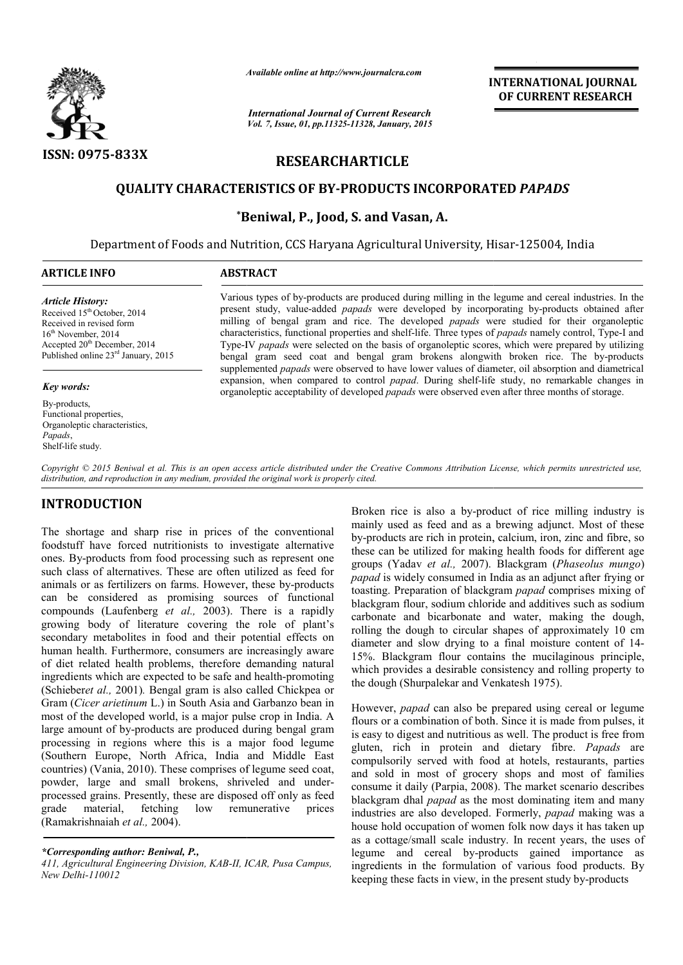

*Available online at http://www.journal http://www.journalcra.com*

*International Journal of Current Research Vol. 7, Issue, 01, pp.11325-11328, January, 2015* **INTERNATIONAL JOURNAL OF CURRENT RESEARCH** 

# **RESEARCHARTICLE**

## **QUALITY CHARACTERISTICS OF BY BY-PRODUCTS INCORPORATED PRODUCTS** *PAPADS*

## **\*Beniwal, P., Jood, S. and Vasan, A. Beniwal,**

Department of Foods and Nutrition, CCS Haryana Agricultural University, Hisar-125004, India

#### **ARTICLE INFO ABSTRACT**

*Article History:* Received 15<sup>th</sup> October, 2014 Received in revised form 16<sup>th</sup> November, 2014 Accepted 20<sup>th</sup> December, 2014 Published online 23rd January, 2015

*Key words:*

By-products, Functional properties, Organoleptic characteristics, *Papads*, Shelf-life study.

Various types of by-products are produced during milling in the legume and cereal industries. In the present study, value-added *papads* were developed by incorporating by-products obtained after present study, value-added *papads* were developed by incorporating by milling of bengal gram and rice. The developed *papads* were studied for their organoleptic characteristics, functional properties and shelf-life. Three types of *papads* namely control, Type-I and Type-IV *papads* were selected on the basis of organoleptic scores, which were prepared by utilizing Type-IV *papads* were selected on the basis of organoleptic scores, which were prepared by utilizing bengal gram seed coat and bengal gram brokens alongwith broken rice. The by-products supplemented *papads* were observed to have lower values of diameter, oil absorption and diametrical supplemented *papads* were observed to have lower values of diameter, oil absorption and diametrical expansion, when compared to control *papad*. During shelf-life study, no remarkable changes in organoleptic acceptability of developed *papads* were observed even after three months of storage.

Copyright © 2015 Beniwal et al. This is an open access article distributed under the Creative Commons Attribution License, which permits unrestricted use, *distribution, and reproduction in any medium, provided the original work is properly cited.*

# **INTRODUCTION**

The shortage and sharp rise in prices of the conventional foodstuff have forced nutritionists to investigate alternative ones. By-products from food processing such as represent one such class of alternatives. These are often utilized as feed for ones. By-products from food processing such as represent one such class of alternatives. These are often utilized as feed for animals or as fertilizers on farms. However, these by-products can be considered as promising sources of functional compounds (Laufenberg *et al.,* 2003). There is a rapidly growing body of literature covering the role of plant's secondary metabolites in food and their potential effects on human health. Furthermore, consumers are increasingly aware of diet related health problems, therefore demanding natural ingredients which are expected to be safe and health (Schieber*et al.,* 2001)*.* Bengal gram is also called Chickpea or Gram (*Cicer arietinum* L.) in South Asia and Garbanzo bean in most of the developed world, is a major pulse crop in India. A large amount of by-products are produced during bengal gram processing in regions where this is a major food legume (Southern Europe, North Africa, India and Middle East countries) (Vania, 2010). These comprises of legume seed coat, powder, large and small brokens, shriveled and under processed grains. Presently, these are disposed off only as feed<br>grade material, fetching low remunerative prices low remunerative prices (Ramakrishnaiah *et al.,* 2004). ir potential effects on<br>are increasingly aware<br>ore demanding natural<br>e and health-promoting re produced during bengal gram<br>this is a major food legume<br>frica, India and Middle East<br>e comprises of legume seed coat,<br>prokens, shriveled and under-

*\*Corresponding author: Beniwal, P.,* 

411, Agricultural Engineering Division, KAB-II, ICAR, Pusa Campus, *New Delhi-110012*

Broken rice is also a by-product of rice milling industry is mainly used as feed and as a brewing adjunct. Most of these by-products are rich in protein, calcium, iron, zinc and fibre, so Broken rice is also a by-product of rice milling industry is mainly used as feed and as a brewing adjunct. Most of these by-products are rich in protein, calcium, iron, zinc and fibre, so these can be utilized for making h groups (Yadav *et al.,* 2007). Blackgram (*Phaseolus mungo*) *papad* is widely consumed in India as an adjunct after frying or papad is widely consumed in India as an adjunct after frying or toasting. Preparation of blackgram papad comprises mixing of blackgram flour, sodium chloride and additives such as sodium carbonate and bicarbonate and water, making the dough, rolling the dough to circular shapes of approximately 10 cm diameter and slow drying to a final moisture content of 14 15%. Blackgram flour contains the mucilaginous principle, which provides a desirable consistency and rolling property to the dough (Shurpalekar and Venkatesh 1975). exted to a final making the dough,<br>ar shapes of approximately 10 cm<br>to a final moisture content of 14ckgram flour contains the mucilaginous principle, vides a desirable consistency and rolling property to (Shurpalekar and Venkatesh 1975).<br>papad can also be prepared using cereal or legume combination of both. Since it is m

However, *papad* can also be prepared using cereal or legume flours or a combination of both. Since it is made from pulses, it is easy to digest and nutritious as well. The product is free from gluten, rich in protein and dietary fibre. *Papads* are compulsorily served with food at hotels, restaurants, parties and sold in most of grocery shops and most of families consume it daily (Parpia, 2008). The market scenario describes blackgram dhal *papad* as the most dominating item and many industries are also developed. Formerly, *papad* making was a house hold occupation of women folk now days it has taken up as a cottage/small scale industry. In recent years, the uses of legume and cereal by-products gained importance as ingredients in the formulation of various food products. By keeping these facts in view, in the present study by served with food at hotels, restaurants, parties most of grocery shops and most of families ily (Parpia, 2008). The market scenario describes house hold occupation of women folk now days it has taken<br>as a cottage/small scale industry. In recent years, the uses<br>legume and cereal by-products gained importance<br>ingredients in the formulation of various food products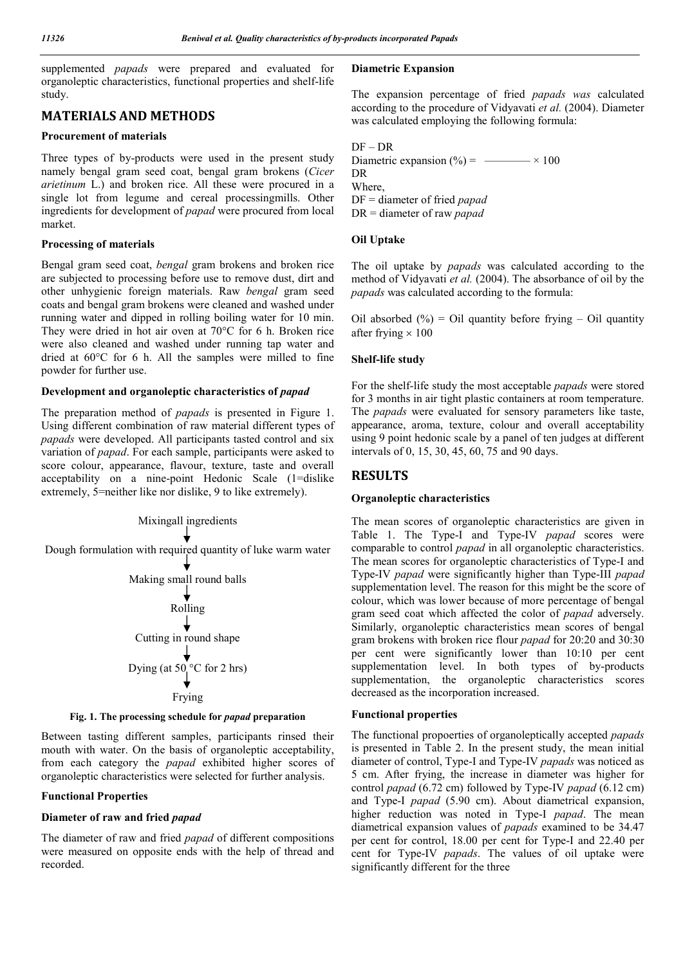supplemented *papads* were prepared and evaluated for organoleptic characteristics, functional properties and shelf-life study.

# **MATERIALS AND METHODS**

#### **Procurement of materials**

Three types of by-products were used in the present study namely bengal gram seed coat, bengal gram brokens (*Cicer arietinum* L.) and broken rice. All these were procured in a single lot from legume and cereal processingmills. Other ingredients for development of *papad* were procured from local market.

#### **Processing of materials**

Bengal gram seed coat, *bengal* gram brokens and broken rice are subjected to processing before use to remove dust, dirt and other unhygienic foreign materials. Raw *bengal* gram seed coats and bengal gram brokens were cleaned and washed under running water and dipped in rolling boiling water for 10 min. They were dried in hot air oven at 70°C for 6 h. Broken rice were also cleaned and washed under running tap water and dried at 60°C for 6 h. All the samples were milled to fine powder for further use.

#### **Development and organoleptic characteristics of** *papad*

The preparation method of *papads* is presented in Figure 1. Using different combination of raw material different types of *papads* were developed. All participants tasted control and six variation of *papad*. For each sample, participants were asked to score colour, appearance, flavour, texture, taste and overall acceptability on a nine-point Hedonic Scale (1=dislike extremely, 5=neither like nor dislike, 9 to like extremely).



#### **Fig. 1. The processing schedule for** *papad* **preparation**

Between tasting different samples, participants rinsed their mouth with water. On the basis of organoleptic acceptability, from each category the *papad* exhibited higher scores of organoleptic characteristics were selected for further analysis.

## **Functional Properties**

## **Diameter of raw and fried** *papad*

The diameter of raw and fried *papad* of different compositions were measured on opposite ends with the help of thread and recorded.

#### **Diametric Expansion**

The expansion percentage of fried *papads was* calculated according to the procedure of Vidyavati *et al.* (2004). Diameter was calculated employing the following formula:

DF – DR Diametric expansion  $(\% ) =$  \_\_\_\_\_\_ × 100 DR Where, DF = diameter of fried *papad* DR = diameter of raw *papad*

## **Oil Uptake**

The oil uptake by *papads* was calculated according to the method of Vidyavati *et al.* (2004). The absorbance of oil by the *papads* was calculated according to the formula:

Oil absorbed  $(\%)$  = Oil quantity before frying – Oil quantity after frying  $\times 100$ 

## **Shelf-life study**

For the shelf-life study the most acceptable *papads* were stored for 3 months in air tight plastic containers at room temperature. The *papads* were evaluated for sensory parameters like taste, appearance, aroma, texture, colour and overall acceptability using 9 point hedonic scale by a panel of ten judges at different intervals of 0, 15, 30, 45, 60, 75 and 90 days.

# **RESULTS**

## **Organoleptic characteristics**

The mean scores of organoleptic characteristics are given in Table 1. The Type-I and Type-IV *papad* scores were comparable to control *papad* in all organoleptic characteristics. The mean scores for organoleptic characteristics of Type-I and Type-IV *papad* were significantly higher than Type-III *papad* supplementation level. The reason for this might be the score of colour, which was lower because of more percentage of bengal gram seed coat which affected the color of *papad* adversely. Similarly, organoleptic characteristics mean scores of bengal gram brokens with broken rice flour *papad* for 20:20 and 30:30 per cent were significantly lower than 10:10 per cent supplementation level. In both types of by-products supplementation, the organoleptic characteristics scores decreased as the incorporation increased.

## **Functional properties**

The functional propoerties of organoleptically accepted *papads*  is presented in Table 2. In the present study, the mean initial diameter of control, Type-I and Type-IV *papads* was noticed as 5 cm. After frying, the increase in diameter was higher for control *papad* (6.72 cm) followed by Type-IV *papad* (6.12 cm) and Type-I *papad* (5.90 cm). About diametrical expansion, higher reduction was noted in Type-I *papad*. The mean diametrical expansion values of *papads* examined to be 34.47 per cent for control, 18.00 per cent for Type-I and 22.40 per cent for Type-IV *papads*. The values of oil uptake were significantly different for the three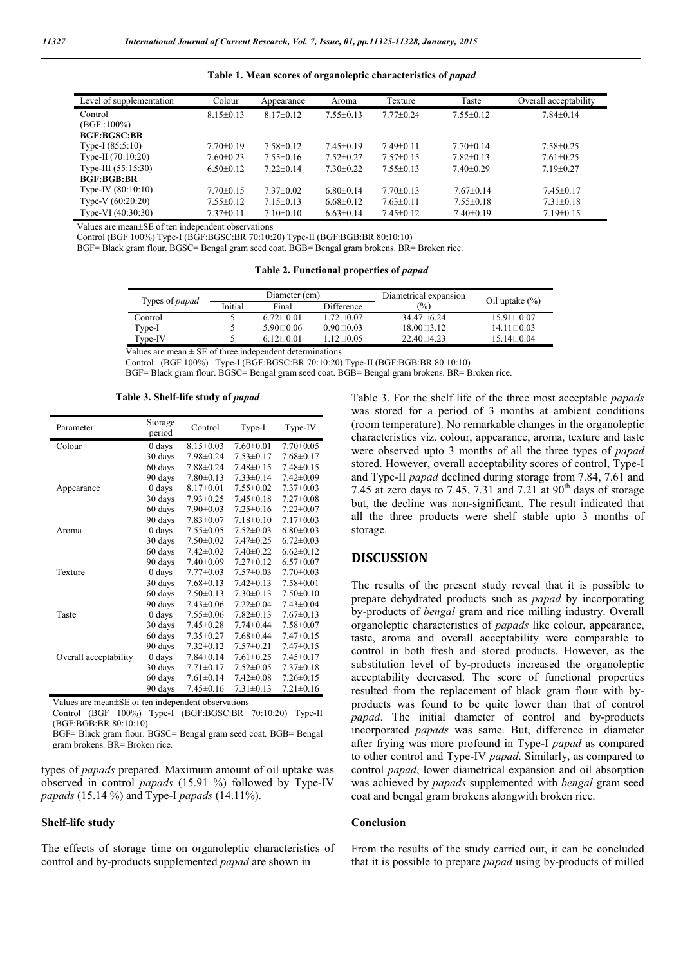| Level of supplementation | Colour          | Appearance      | Aroma           | Texture         | Taste           | Overall acceptability |
|--------------------------|-----------------|-----------------|-----------------|-----------------|-----------------|-----------------------|
| Control                  | $8.15+0.13$     | $8.17 \pm 0.12$ | $7.55+0.13$     | $7.77+0.24$     | $7.55 \pm 0.12$ | $7.84 \pm 0.14$       |
| $(BGF::100\%)$           |                 |                 |                 |                 |                 |                       |
| <b>BGF:BGSC:BR</b>       |                 |                 |                 |                 |                 |                       |
| Type-I $(85:5:10)$       | $7.70 \pm 0.19$ | $7.58 \pm 0.12$ | $7.45 \pm 0.19$ | $7.49 + 0.11$   | $7.70+0.14$     | $7.58 \pm 0.25$       |
| Type-II $(70:10:20)$     | $7.60+0.23$     | $7.55+0.16$     | $7.52+0.27$     | $7.57+0.15$     | $7.82+0.13$     | $7.61 + 0.25$         |
| Type-III (55:15:30)      | $6.50 \pm 0.12$ | $7.22+0.14$     | $7.30+0.22$     | $7.55+0.13$     | $7.40\pm0.29$   | $7.19 \pm 0.27$       |
| <b>BGF:BGB:BR</b>        |                 |                 |                 |                 |                 |                       |
| Type-IV $(80:10:10)$     | $7.70+0.15$     | $7.37+0.02$     | $6.80 \pm 0.14$ | $7.70+0.13$     | $7.67+0.14$     | $7.45+0.17$           |
| Type-V $(60:20:20)$      | $7.55 \pm 0.12$ | $7.15 \pm 0.13$ | $6.68 \pm 0.12$ | $7.63 \pm 0.11$ | $7.55 \pm 0.18$ | $7.31 \pm 0.18$       |
| Type-VI (40:30:30)       | $7.37\pm0.11$   | $7.10 \pm 0.10$ | $6.63 \pm 0.14$ | $7.45 \pm 0.12$ | $7.40 \pm 0.19$ | $7.19 \pm 0.15$       |

**Table 1. Mean scores of organoleptic characteristics of** *papad*

Values are mean±SE of ten independent observations

Control (BGF 100%) Type-I (BGF:BGSC:BR 70:10:20) Type-II (BGF:BGB:BR 80:10:10)

BGF= Black gram flour. BGSC= Bengal gram seed coat. BGB= Bengal gram brokens. BR= Broken rice.

**Table 2. Functional properties of** *papad*

|         |                     |                     | Diametrical expansion | Oil uptake $(\%)$    |
|---------|---------------------|---------------------|-----------------------|----------------------|
| Initial | Final               | Difference          | $(\%)$                |                      |
|         | $672 \square 001$   | $172 \square 007$   | $34.47 \square 6.24$  | $15.91 \square 0.07$ |
|         | $5.90 \square 0.06$ | $0.90\Box 0.03$     | $18.00 \square 3.12$  | $141 \square 003$    |
|         | $612 \square 001$   | $1.12 \square 0.05$ | $22.40\Box 4.23$      | $15.14 \square 0.04$ |
|         |                     |                     | Diameter (cm)         |                      |

Values are mean  $\pm$  SE of three independent determinations

Control (BGF 100%) Type-I (BGF:BGSC:BR 70:10:20) Type-II (BGF:BGB:BR 80:10:10)

BGF= Black gram flour. BGSC= Bengal gram seed coat. BGB= Bengal gram brokens. BR= Broken rice.

**Table 3. Shelf-life study of** *papad*

| Parameter             | Storage<br>period | Control         | Type-I          | Type-IV         |
|-----------------------|-------------------|-----------------|-----------------|-----------------|
| Colour                | $0$ days          | $8.15 \pm 0.03$ | $7.60 \pm 0.01$ | $7.70 \pm 0.05$ |
|                       | 30 days           | $7.98 \pm 0.24$ | $7.53 \pm 0.17$ | $7.68 \pm 0.17$ |
|                       | 60 days           | $7.88 \pm 0.24$ | $7.48 \pm 0.15$ | $7.48 \pm 0.15$ |
|                       | 90 days           | $7.80 \pm 0.13$ | $7.33 \pm 0.14$ | $7.42 \pm 0.09$ |
| Appearance            | 0 days            | $8.17 \pm 0.01$ | $7.55 \pm 0.02$ | $7.37\pm0.03$   |
|                       | 30 days           | $7.93 \pm 0.25$ | $7.45 \pm 0.18$ | $7.27 \pm 0.08$ |
|                       | 60 days           | $7.90 \pm 0.03$ | $7.25 \pm 0.16$ | $7.22 \pm 0.07$ |
|                       | 90 days           | $7.83 \pm 0.07$ | $7.18 \pm 0.10$ | $7.17 \pm 0.03$ |
| Aroma                 | $0$ days          | $7.55 \pm 0.05$ | $7.52 \pm 0.03$ | $6.80 \pm 0.03$ |
|                       | 30 days           | $7.50 \pm 0.02$ | $7.47 \pm 0.25$ | $6.72 \pm 0.03$ |
|                       | 60 days           | $7.42 \pm 0.02$ | $7.40 \pm 0.22$ | $6.62 \pm 0.12$ |
|                       | 90 days           | $7.40\pm0.09$   | $7.27 \pm 0.12$ | $6.57 \pm 0.07$ |
| Texture               | $0$ days          | $7.77\pm0.03$   | $7.57 \pm 0.03$ | $7.70 \pm 0.03$ |
|                       | 30 days           | $7.68 \pm 0.13$ | $7.42 \pm 0.13$ | $7.58 \pm 0.01$ |
|                       | 60 days           | $7.50 \pm 0.13$ | $7.30 \pm 0.13$ | $7.50 \pm 0.10$ |
|                       | 90 days           | $7.43 \pm 0.06$ | $7.22 \pm 0.04$ | $7.43 \pm 0.04$ |
| Taste                 | 0 days            | $7.55 \pm 0.06$ | $7.82 \pm 0.13$ | $7.67 \pm 0.13$ |
|                       | 30 days           | $7.45 \pm 0.28$ | $7.74 \pm 0.44$ | $7.58 \pm 0.07$ |
|                       | 60 days           | $7.35 \pm 0.27$ | $7.68 \pm 0.44$ | $7.47 \pm 0.15$ |
|                       | 90 days           | $7.32 \pm 0.12$ | $7.57 \pm 0.21$ | $7.47 \pm 0.15$ |
| Overall acceptability | 0 days            | $7.84 \pm 0.14$ | $7.61 \pm 0.25$ | $7.45 \pm 0.17$ |
|                       | 30 days           | $7.71 \pm 0.17$ | $7.52 \pm 0.05$ | $7.37 \pm 0.18$ |
|                       | 60 days           | $7.61 \pm 0.14$ | $7.42 \pm 0.08$ | $7.26 \pm 0.15$ |
|                       | 90 days           | $7.45 \pm 0.16$ | $7.31 \pm 0.13$ | $7.21 \pm 0.16$ |

Values are mean+SE of ten independent observations

Control (BGF 100%) Type-I (BGF:BGSC:BR 70:10:20) Type-II (BGF:BGB:BR 80:10:10)

BGF= Black gram flour. BGSC= Bengal gram seed coat. BGB= Bengal gram brokens. BR= Broken rice.

types of *papads* prepared*.* Maximum amount of oil uptake was observed in control *papads* (15.91 %) followed by Type-IV *papads* (15.14 %) and Type-I *papads* (14.11%).

#### **Shelf-life study**

The effects of storage time on organoleptic characteristics of control and by-products supplemented *papad* are shown in

Table 3. For the shelf life of the three most acceptable *papads* was stored for a period of 3 months at ambient conditions (room temperature). No remarkable changes in the organoleptic characteristics viz. colour, appearance, aroma, texture and taste were observed upto 3 months of all the three types of *papad*  stored. However, overall acceptability scores of control, Type-I and Type-II *papad* declined during storage from 7.84, 7.61 and 7.45 at zero days to 7.45, 7.31 and 7.21 at  $90<sup>th</sup>$  days of storage but, the decline was non-significant. The result indicated that all the three products were shelf stable upto 3 months of storage.

#### **DISCUSSION**

The results of the present study reveal that it is possible to prepare dehydrated products such as *papad* by incorporating by-products of *bengal* gram and rice milling industry. Overall organoleptic characteristics of *papads* like colour, appearance, taste, aroma and overall acceptability were comparable to control in both fresh and stored products. However, as the substitution level of by-products increased the organoleptic acceptability decreased. The score of functional properties resulted from the replacement of black gram flour with byproducts was found to be quite lower than that of control *papad*. The initial diameter of control and by-products incorporated *papads* was same. But, difference in diameter after frying was more profound in Type-I *papad* as compared to other control and Type-IV *papad*. Similarly, as compared to control *papad*, lower diametrical expansion and oil absorption was achieved by *papads* supplemented with *bengal* gram seed coat and bengal gram brokens alongwith broken rice.

#### **Conclusion**

From the results of the study carried out, it can be concluded that it is possible to prepare *papad* using by-products of milled